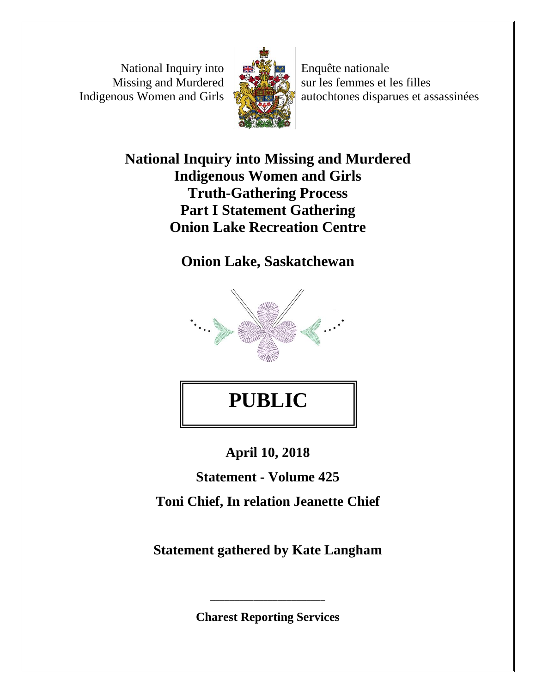National Inquiry into Missing and Murdered Indigenous Women and Girls



Enquête nationale sur les femmes et les filles autochtones disparues et assassinées

## **National Inquiry into Missing and Murdered Indigenous Women and Girls Truth-Gathering Process Part I Statement Gathering Onion Lake Recreation Centre**

**Onion Lake, Saskatchewan** 



## **PUBLIC**

**April 10, 2018** 

**Statement - Volume 425 Toni Chief, In relation Jeanette Chief** 

**Statement gathered by Kate Langham** 

**Charest Reporting Services** 

\_\_\_\_\_\_\_\_\_\_\_\_\_\_\_\_\_\_\_\_\_\_\_\_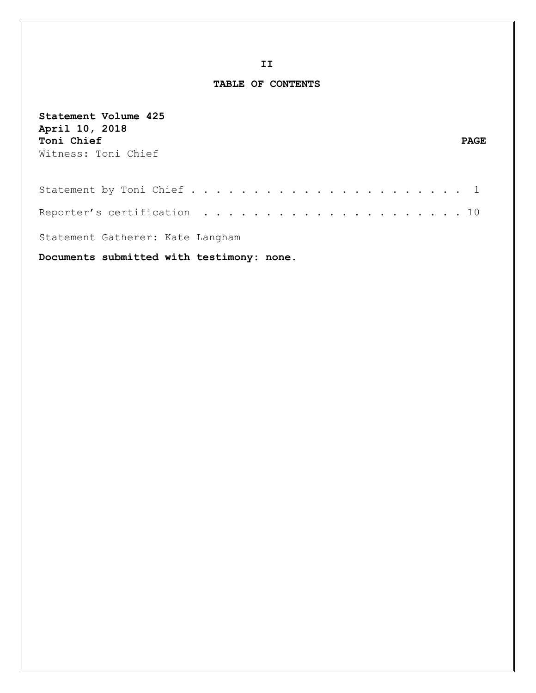**TABLE OF CONTENTS**

| Statement Volume 425<br>April 10, 2018<br>Toni Chief<br><b>PAGE</b><br>Witness: Toni Chief |  |
|--------------------------------------------------------------------------------------------|--|
|                                                                                            |  |
|                                                                                            |  |
| Statement Gatherer: Kate Langham                                                           |  |
| Documents submitted with testimony: none.                                                  |  |

**II**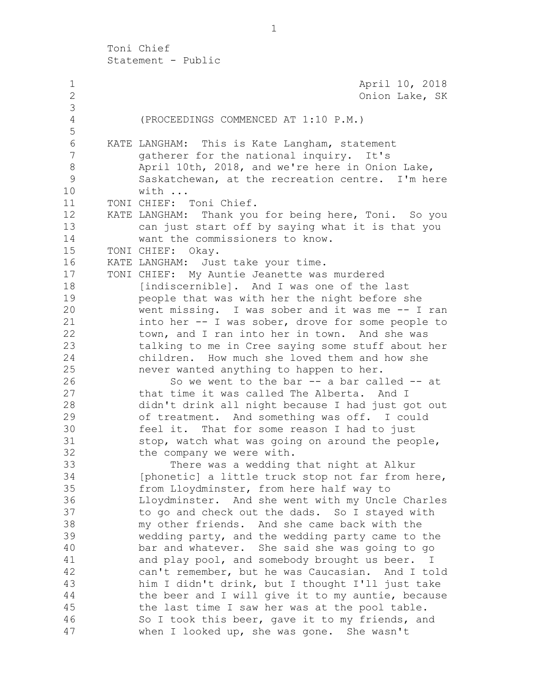1 **April 10, 2018**  2 Onion Lake, SK 3 4 (PROCEEDINGS COMMENCED AT 1:10 P.M.) 5 6 KATE LANGHAM: This is Kate Langham, statement 7 gatherer for the national inquiry. It's 8 April 10th, 2018, and we're here in Onion Lake, 9 Saskatchewan, at the recreation centre. I'm here 10 with ... 11 TONI CHIEF: Toni Chief. 12 KATE LANGHAM: Thank you for being here, Toni. So you 13 can just start off by saying what it is that you 14 want the commissioners to know. 15 TONI CHIEF: Okay. 16 KATE LANGHAM: Just take your time. 17 TONI CHIEF: My Auntie Jeanette was murdered 18 [indiscernible]. And I was one of the last 19 people that was with her the night before she 20 went missing. I was sober and it was me -- I ran 21 into her -- I was sober, drove for some people to 22 town, and I ran into her in town. And she was 23 talking to me in Cree saying some stuff about her 24 children. How much she loved them and how she 25 never wanted anything to happen to her. 26 So we went to the bar -- a bar called -- at 27 that time it was called The Alberta. And I 28 didn't drink all night because I had just got out 29 of treatment. And something was off. I could 30 feel it. That for some reason I had to just 31 stop, watch what was going on around the people, 32 the company we were with. 33 There was a wedding that night at Alkur 34 [phonetic] a little truck stop not far from here, 35 from Lloydminster, from here half way to 36 Lloydminster. And she went with my Uncle Charles 37 to go and check out the dads. So I stayed with 38 my other friends. And she came back with the 39 wedding party, and the wedding party came to the 40 bar and whatever. She said she was going to go 41 and play pool, and somebody brought us beer. I 42 can't remember, but he was Caucasian. And I told 43 him I didn't drink, but I thought I'll just take 44 the beer and I will give it to my auntie, because 45 the last time I saw her was at the pool table. 46 So I took this beer, gave it to my friends, and 47 when I looked up, she was gone. She wasn't

1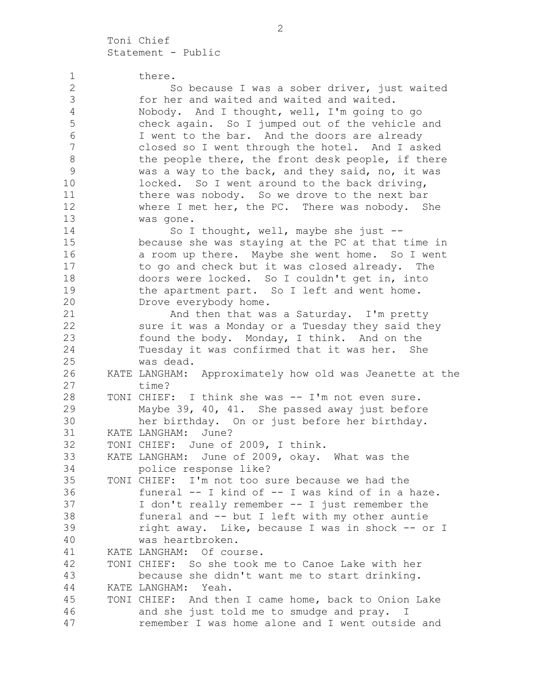| $\mathbf 1$     | there.                                                  |
|-----------------|---------------------------------------------------------|
| $\sqrt{2}$      | So because I was a sober driver, just waited            |
| $\mathfrak{Z}$  | for her and waited and waited and waited.               |
| $\overline{4}$  | Nobody. And I thought, well, I'm going to go            |
| 5               | check again. So I jumped out of the vehicle and         |
| 6               | I went to the bar. And the doors are already            |
| $7\phantom{.0}$ | closed so I went through the hotel. And I asked         |
| $\,8\,$         | the people there, the front desk people, if there       |
| $\mathsf 9$     | was a way to the back, and they said, no, it was        |
| 10              | locked. So I went around to the back driving,           |
| 11              | there was nobody. So we drove to the next bar           |
| 12              | where I met her, the PC. There was nobody. She          |
| 13              | was gone.                                               |
| 14              | So I thought, well, maybe she just --                   |
| 15              | because she was staying at the PC at that time in       |
| 16              | a room up there. Maybe she went home. So I went         |
| 17              | to go and check but it was closed already. The          |
| 18              | doors were locked. So I couldn't get in, into           |
| 19              | the apartment part. So I left and went home.            |
| 20              | Drove everybody home.                                   |
| 21              | And then that was a Saturday. I'm pretty                |
| 22              | sure it was a Monday or a Tuesday they said they        |
| 23              | found the body. Monday, I think. And on the             |
| 24              | Tuesday it was confirmed that it was her. She           |
| 25              | was dead.                                               |
| 26              | KATE LANGHAM: Approximately how old was Jeanette at the |
| 27              | time?                                                   |
| 28              | TONI CHIEF: I think she was -- I'm not even sure.       |
| 29              | Maybe 39, 40, 41. She passed away just before           |
| 30              | her birthday. On or just before her birthday.           |
| 31              | June?<br>KATE LANGHAM:                                  |
| 32              | TONI CHIEF: June of 2009, I think.                      |
| 33              | KATE LANGHAM: June of 2009, okay. What was the          |
| 34              | police response like?                                   |
| 35              | TONI CHIEF: I'm not too sure because we had the         |
| 36              | funeral -- I kind of -- I was kind of in a haze.        |
| 37              | I don't really remember -- I just remember the          |
| 38              | funeral and -- but I left with my other auntie          |
| 39              | right away. Like, because I was in shock -- or I        |
| 40              | was heartbroken.                                        |
| 41              | KATE LANGHAM: Of course.                                |
| 42              | TONI CHIEF: So she took me to Canoe Lake with her       |
| 43              | because she didn't want me to start drinking.           |
| 44              | KATE LANGHAM: Yeah.                                     |
| 45              | TONI CHIEF: And then I came home, back to Onion Lake    |
| 46              | and she just told me to smudge and pray. I              |
| 47              | remember I was home alone and I went outside and        |
|                 |                                                         |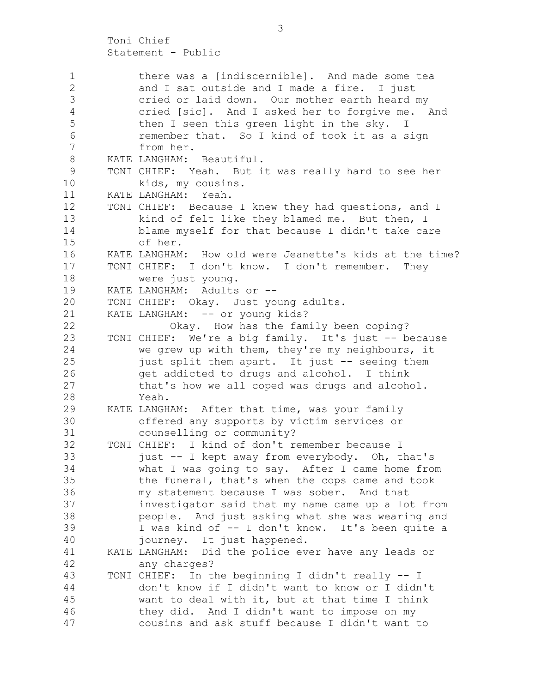1 there was a [indiscernible]. And made some tea 2 and I sat outside and I made a fire. I just 3 cried or laid down. Our mother earth heard my 4 cried [sic]. And I asked her to forgive me. And 5 then I seen this green light in the sky. I 6 remember that. So I kind of took it as a sign 7 from her. 8 KATE LANGHAM: Beautiful. 9 TONI CHIEF: Yeah. But it was really hard to see her 10 kids, my cousins. 11 KATE LANGHAM: Yeah. 12 TONI CHIEF: Because I knew they had questions, and I 13 kind of felt like they blamed me. But then, I 14 blame myself for that because I didn't take care 15 of her. 16 KATE LANGHAM: How old were Jeanette's kids at the time? 17 TONI CHIEF: I don't know. I don't remember. They 18 were just young. 19 KATE LANGHAM: Adults or -- 20 TONI CHIEF: Okay. Just young adults. 21 KATE LANGHAM: -- or young kids? 22 Okay. How has the family been coping? 23 TONI CHIEF: We're a big family. It's just -- because 24 we grew up with them, they're my neighbours, it 25 just split them apart. It just -- seeing them 26 get addicted to drugs and alcohol. I think 27 that's how we all coped was drugs and alcohol. 28 Yeah. 29 KATE LANGHAM: After that time, was your family 30 offered any supports by victim services or 31 counselling or community? 32 TONI CHIEF: I kind of don't remember because I 33 just -- I kept away from everybody. Oh, that's 34 what I was going to say. After I came home from 35 the funeral, that's when the cops came and took 36 my statement because I was sober. And that 37 investigator said that my name came up a lot from 38 people. And just asking what she was wearing and 39 I was kind of -- I don't know. It's been quite a 40 journey. It just happened. 41 KATE LANGHAM: Did the police ever have any leads or 42 any charges? 43 TONI CHIEF: In the beginning I didn't really -- I 44 don't know if I didn't want to know or I didn't 45 want to deal with it, but at that time I think 46 they did. And I didn't want to impose on my 47 cousins and ask stuff because I didn't want to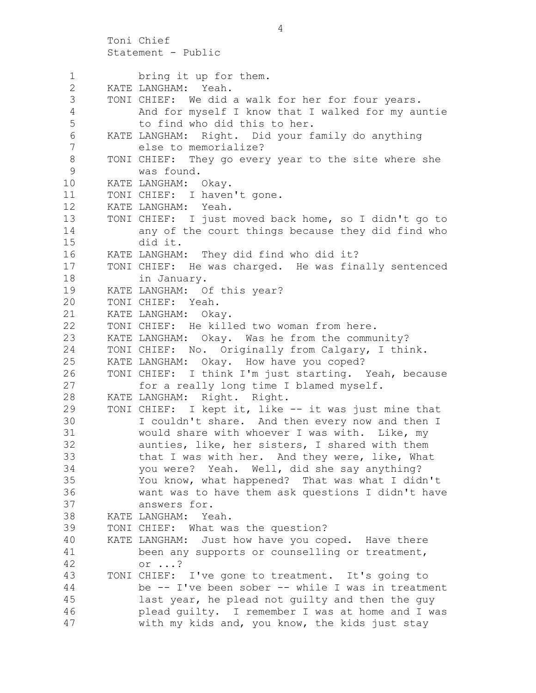Statement - Public 1 bring it up for them. 2 KATE LANGHAM: Yeah. 3 TONI CHIEF: We did a walk for her for four years. 4 And for myself I know that I walked for my auntie 5 to find who did this to her. 6 KATE LANGHAM: Right. Did your family do anything 7 else to memorialize? 8 TONI CHIEF: They go every year to the site where she 9 was found. 10 KATE LANGHAM: Okay. 11 TONI CHIEF: I haven't gone. 12 KATE LANGHAM: Yeah. 13 TONI CHIEF: I just moved back home, so I didn't go to 14 any of the court things because they did find who 15 did it. 16 KATE LANGHAM: They did find who did it? 17 TONI CHIEF: He was charged. He was finally sentenced 18 in January. 19 KATE LANGHAM: Of this year? 20 TONI CHIEF: Yeah. 21 KATE LANGHAM: Okay. 22 TONI CHIEF: He killed two woman from here. 23 KATE LANGHAM: Okay. Was he from the community? 24 TONI CHIEF: No. Originally from Calgary, I think. 25 KATE LANGHAM: Okay. How have you coped? 26 TONI CHIEF: I think I'm just starting. Yeah, because 27 for a really long time I blamed myself. 28 KATE LANGHAM: Right. Right. 29 TONI CHIEF: I kept it, like -- it was just mine that 30 I couldn't share. And then every now and then I 31 would share with whoever I was with. Like, my 32 aunties, like, her sisters, I shared with them 33 that I was with her. And they were, like, What 34 you were? Yeah. Well, did she say anything? 35 You know, what happened? That was what I didn't 36 want was to have them ask questions I didn't have 37 answers for. 38 KATE LANGHAM: Yeah. 39 TONI CHIEF: What was the question? 40 KATE LANGHAM: Just how have you coped. Have there 41 been any supports or counselling or treatment, 42 or ...? 43 TONI CHIEF: I've gone to treatment. It's going to 44 be -- I've been sober -- while I was in treatment 45 last year, he plead not guilty and then the guy 46 plead guilty. I remember I was at home and I was 47 with my kids and, you know, the kids just stay

4

Toni Chief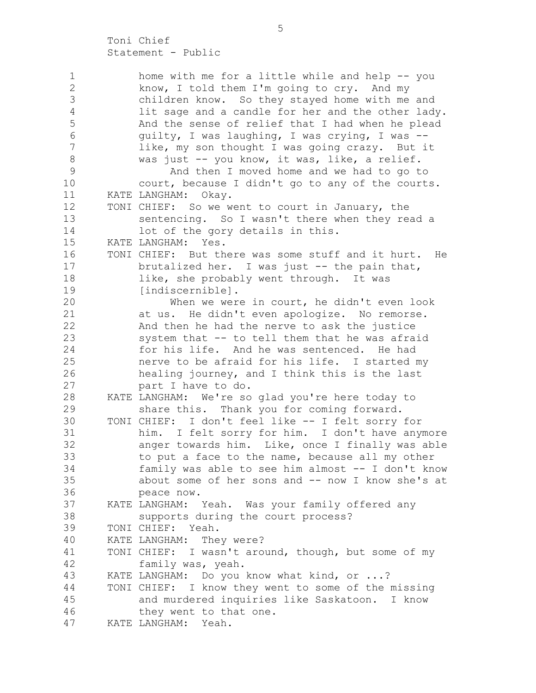1 home with me for a little while and help -- you 2 know, I told them I'm going to cry. And my 3 children know. So they stayed home with me and 4 lit sage and a candle for her and the other lady. 5 And the sense of relief that I had when he plead 6 guilty, I was laughing, I was crying, I was -- 7 like, my son thought I was going crazy. But it 8 was just -- you know, it was, like, a relief. 9 And then I moved home and we had to go to 10 court, because I didn't go to any of the courts. 11 KATE LANGHAM: Okay. 12 TONI CHIEF: So we went to court in January, the 13 sentencing. So I wasn't there when they read a 14 lot of the gory details in this. 15 KATE LANGHAM: Yes. 16 TONI CHIEF: But there was some stuff and it hurt. He 17 brutalized her. I was just -- the pain that, 18 like, she probably went through. It was 19 [indiscernible]. 20 When we were in court, he didn't even look 21 at us. He didn't even apologize. No remorse. 22 And then he had the nerve to ask the justice 23 system that -- to tell them that he was afraid 24 for his life. And he was sentenced. He had 25 nerve to be afraid for his life. I started my 26 healing journey, and I think this is the last 27 part I have to do. 28 KATE LANGHAM: We're so glad you're here today to 29 share this. Thank you for coming forward. 30 TONI CHIEF: I don't feel like -- I felt sorry for 31 him. I felt sorry for him. I don't have anymore 32 anger towards him. Like, once I finally was able 33 to put a face to the name, because all my other 34 family was able to see him almost -- I don't know 35 about some of her sons and -- now I know she's at 36 peace now. 37 KATE LANGHAM: Yeah. Was your family offered any 38 supports during the court process? 39 TONI CHIEF: Yeah. 40 KATE LANGHAM: They were? 41 TONI CHIEF: I wasn't around, though, but some of my 42 family was, yeah. 43 KATE LANGHAM: Do you know what kind, or ...? 44 TONI CHIEF: I know they went to some of the missing 45 and murdered inquiries like Saskatoon. I know 46 they went to that one. 47 KATE LANGHAM: Yeah.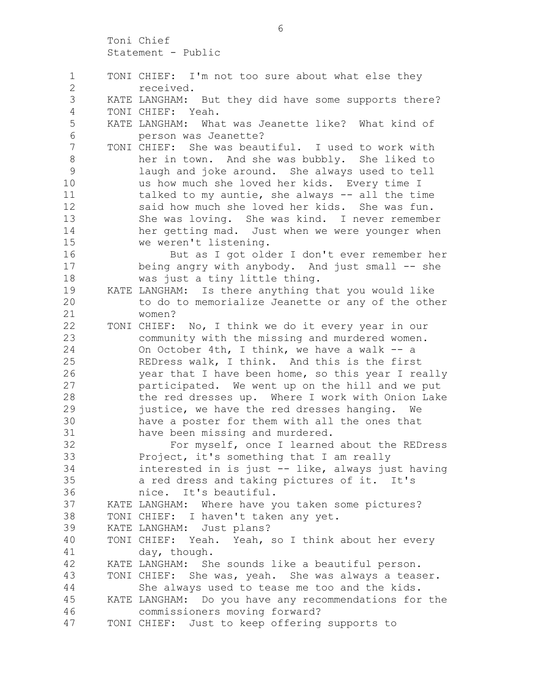1 TONI CHIEF: I'm not too sure about what else they 2 received. 3 KATE LANGHAM: But they did have some supports there? 4 TONI CHIEF: Yeah. 5 KATE LANGHAM: What was Jeanette like? What kind of 6 person was Jeanette? 7 TONI CHIEF: She was beautiful. I used to work with 8 her in town. And she was bubbly. She liked to 9 laugh and joke around. She always used to tell 10 us how much she loved her kids. Every time I 11 talked to my auntie, she always -- all the time 12 said how much she loved her kids. She was fun. 13 She was loving. She was kind. I never remember 14 her getting mad. Just when we were younger when 15 we weren't listening. 16 But as I got older I don't ever remember her 17 being angry with anybody. And just small -- she 18 was just a tiny little thing. 19 KATE LANGHAM: Is there anything that you would like 20 to do to memorialize Jeanette or any of the other 21 women? 22 TONI CHIEF: No, I think we do it every year in our 23 community with the missing and murdered women. 24 On October 4th, I think, we have a walk -- a 25 REDress walk, I think. And this is the first 26 year that I have been home, so this year I really 27 participated. We went up on the hill and we put 28 the red dresses up. Where I work with Onion Lake 29 justice, we have the red dresses hanging. We 30 have a poster for them with all the ones that 31 have been missing and murdered. 32 For myself, once I learned about the REDress 33 Project, it's something that I am really 34 interested in is just -- like, always just having 35 a red dress and taking pictures of it. It's 36 nice. It's beautiful. 37 KATE LANGHAM: Where have you taken some pictures? 38 TONI CHIEF: I haven't taken any yet. 39 KATE LANGHAM: Just plans? 40 TONI CHIEF: Yeah. Yeah, so I think about her every 41 day, though. 42 KATE LANGHAM: She sounds like a beautiful person. 43 TONI CHIEF: She was, yeah. She was always a teaser. 44 She always used to tease me too and the kids. 45 KATE LANGHAM: Do you have any recommendations for the 46 commissioners moving forward? 47 TONI CHIEF: Just to keep offering supports to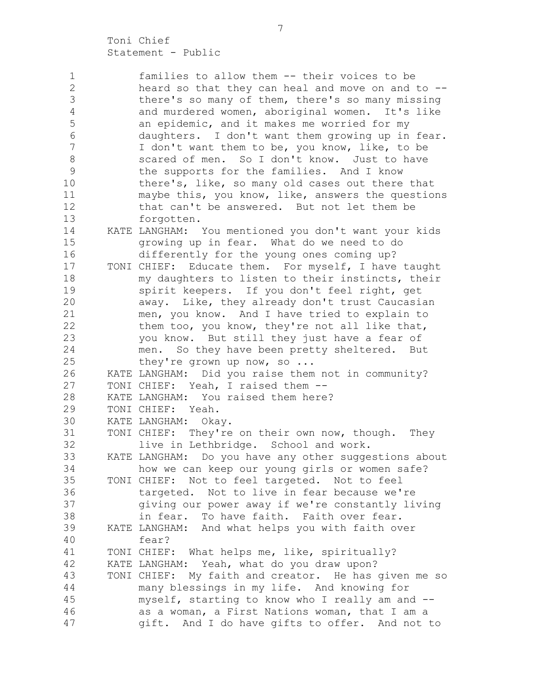1 families to allow them -- their voices to be 2 heard so that they can heal and move on and to -- 3 there's so many of them, there's so many missing 4 and murdered women, aboriginal women. It's like 5 an epidemic, and it makes me worried for my 6 daughters. I don't want them growing up in fear. 7 I don't want them to be, you know, like, to be 8 scared of men. So I don't know. Just to have 9 the supports for the families. And I know 10 there's, like, so many old cases out there that 11 maybe this, you know, like, answers the questions 12 that can't be answered. But not let them be 13 forgotten. 14 KATE LANGHAM: You mentioned you don't want your kids 15 growing up in fear. What do we need to do 16 differently for the young ones coming up? 17 TONI CHIEF: Educate them. For myself, I have taught 18 my daughters to listen to their instincts, their 19 spirit keepers. If you don't feel right, get 20 away. Like, they already don't trust Caucasian 21 men, you know. And I have tried to explain to 22 them too, you know, they're not all like that, 23 you know. But still they just have a fear of 24 men. So they have been pretty sheltered. But 25 they're grown up now, so ... 26 KATE LANGHAM: Did you raise them not in community? 27 TONI CHIEF: Yeah, I raised them -- 28 KATE LANGHAM: You raised them here? 29 TONI CHIEF: Yeah. 30 KATE LANGHAM: Okay. 31 TONI CHIEF: They're on their own now, though. They 32 live in Lethbridge. School and work. 33 KATE LANGHAM: Do you have any other suggestions about 34 how we can keep our young girls or women safe? 35 TONI CHIEF: Not to feel targeted. Not to feel 36 targeted. Not to live in fear because we're 37 giving our power away if we're constantly living 38 in fear. To have faith. Faith over fear. 39 KATE LANGHAM: And what helps you with faith over 40 fear? 41 TONI CHIEF: What helps me, like, spiritually? 42 KATE LANGHAM: Yeah, what do you draw upon? 43 TONI CHIEF: My faith and creator. He has given me so 44 many blessings in my life. And knowing for 45 myself, starting to know who I really am and -- 46 as a woman, a First Nations woman, that I am a 47 gift. And I do have gifts to offer. And not to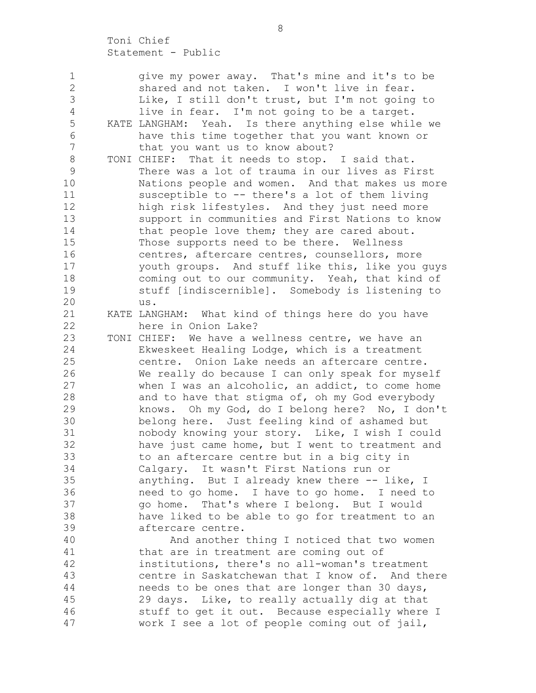| 1              | give my power away. That's mine and it's to be      |
|----------------|-----------------------------------------------------|
| $\mathbf{2}$   | shared and not taken. I won't live in fear.         |
| $\mathfrak{Z}$ | Like, I still don't trust, but I'm not going to     |
| $\overline{4}$ | live in fear. I'm not going to be a target.         |
| 5              | KATE LANGHAM: Yeah. Is there anything else while we |
| $\epsilon$     | have this time together that you want known or      |
| $\overline{7}$ | that you want us to know about?                     |
| $8\,$          | TONI CHIEF: That it needs to stop. I said that.     |
| $\mathcal{G}$  | There was a lot of trauma in our lives as First     |
| 10             | Nations people and women. And that makes us more    |
| 11             | susceptible to -- there's a lot of them living      |
| 12             | high risk lifestyles. And they just need more       |
| 13             | support in communities and First Nations to know    |
| 14             | that people love them; they are cared about.        |
| 15             | Those supports need to be there. Wellness           |
| 16             | centres, aftercare centres, counsellors, more       |
| 17             | youth groups. And stuff like this, like you guys    |
| 18             | coming out to our community. Yeah, that kind of     |
| 19             | stuff [indiscernible]. Somebody is listening to     |
| 20             | us.                                                 |
| 21             | KATE LANGHAM: What kind of things here do you have  |
| 22             | here in Onion Lake?                                 |
| 23             | TONI CHIEF: We have a wellness centre, we have an   |
| 24             | Ekweskeet Healing Lodge, which is a treatment       |
| 25             | centre. Onion Lake needs an aftercare centre.       |
| 26             | We really do because I can only speak for myself    |
| 27             | when I was an alcoholic, an addict, to come home    |
| 28             | and to have that stigma of, oh my God everybody     |
| 29             | knows. Oh my God, do I belong here? No, I don't     |
| 30             | belong here. Just feeling kind of ashamed but       |
| 31             | nobody knowing your story. Like, I wish I could     |
| 32             | have just came home, but I went to treatment and    |
| 33             | to an aftercare centre but in a big city in         |
| 34             | Calgary. It wasn't First Nations run or             |
| 35             | anything. But I already knew there -- like, I       |
| 36             | need to go home. I have to go home. I need to       |
| 37             | go home. That's where I belong. But I would         |
| 38             | have liked to be able to go for treatment to an     |
| 39             | aftercare centre.                                   |
| 40             | And another thing I noticed that two women          |
| 41             | that are in treatment are coming out of             |
| 42             | institutions, there's no all-woman's treatment      |
| 43             | centre in Saskatchewan that I know of. And there    |
| 44             | needs to be ones that are longer than 30 days,      |
| 45             | 29 days. Like, to really actually dig at that       |
| 46             | stuff to get it out. Because especially where I     |
| 47             | work I see a lot of people coming out of jail,      |
|                |                                                     |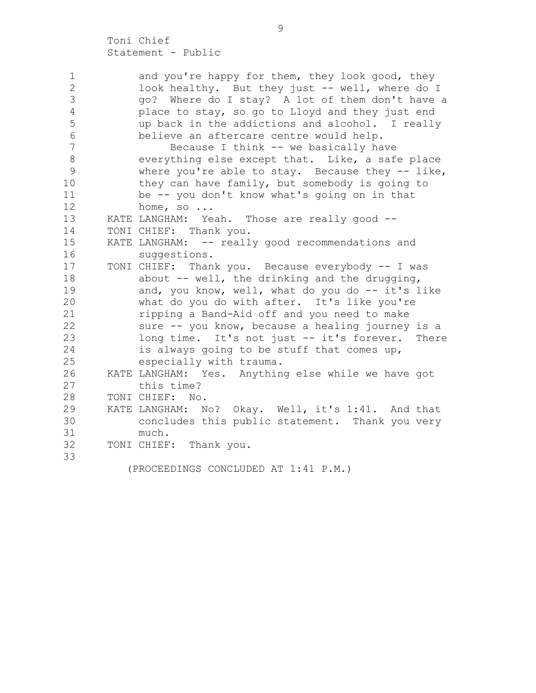| and you're happy for them, they look good, they     |
|-----------------------------------------------------|
| look healthy. But they just -- well, where do I     |
| go? Where do I stay? A lot of them don't have a     |
| place to stay, so go to Lloyd and they just end     |
| up back in the addictions and alcohol. I really     |
| believe an aftercare centre would help.             |
| Because I think -- we basically have                |
| everything else except that. Like, a safe place     |
| where you're able to stay. Because they $-$ - like, |
| they can have family, but somebody is going to      |
| be -- you don't know what's going on in that        |
| home, so $\ldots$                                   |
| KATE LANGHAM: Yeah. Those are really good --        |
| TONI CHIEF: Thank you.                              |
| KATE LANGHAM: -- really good recommendations and    |
| suggestions.                                        |
| TONI CHIEF: Thank you. Because everybody -- I was   |
| about -- well, the drinking and the drugging,       |
| and, you know, well, what do you do -- it's like    |
| what do you do with after. It's like you're         |
| ripping a Band-Aid off and you need to make         |
| sure -- you know, because a healing journey is a    |
| long time. It's not just -- it's forever. There     |
| is always going to be stuff that comes up,          |
| especially with trauma.                             |
| KATE LANGHAM: Yes. Anything else while we have got  |
| this time?                                          |
| TONI CHIEF: No.                                     |
| KATE LANGHAM: No? Okay. Well, it's 1:41. And that   |
| concludes this public statement. Thank you very     |
| much.                                               |
| TONI CHIEF: Thank you.                              |
|                                                     |
| (PROCEEDINGS CONCLUDED AT 1:41 P.M.)                |
|                                                     |